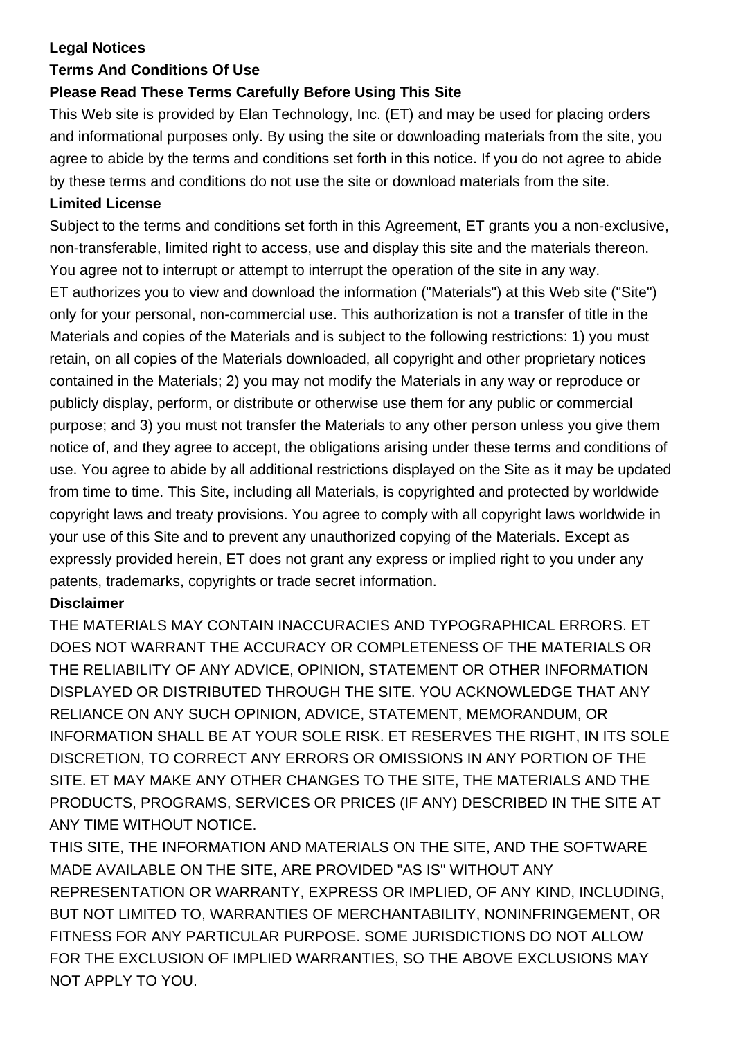## **Legal Notices**

## **Terms And Conditions Of Use**

# **Please Read These Terms Carefully Before Using This Site**

This Web site is provided by Elan Technology, Inc. (ET) and may be used for placing orders and informational purposes only. By using the site or downloading materials from the site, you agree to abide by the terms and conditions set forth in this notice. If you do not agree to abide by these terms and conditions do not use the site or download materials from the site.

#### **Limited License**

Subject to the terms and conditions set forth in this Agreement, ET grants you a non-exclusive, non-transferable, limited right to access, use and display this site and the materials thereon. You agree not to interrupt or attempt to interrupt the operation of the site in any way. ET authorizes you to view and download the information ("Materials") at this Web site ("Site") only for your personal, non-commercial use. This authorization is not a transfer of title in the Materials and copies of the Materials and is subject to the following restrictions: 1) you must retain, on all copies of the Materials downloaded, all copyright and other proprietary notices contained in the Materials; 2) you may not modify the Materials in any way or reproduce or publicly display, perform, or distribute or otherwise use them for any public or commercial purpose; and 3) you must not transfer the Materials to any other person unless you give them notice of, and they agree to accept, the obligations arising under these terms and conditions of use. You agree to abide by all additional restrictions displayed on the Site as it may be updated from time to time. This Site, including all Materials, is copyrighted and protected by worldwide copyright laws and treaty provisions. You agree to comply with all copyright laws worldwide in your use of this Site and to prevent any unauthorized copying of the Materials. Except as expressly provided herein, ET does not grant any express or implied right to you under any patents, trademarks, copyrights or trade secret information.

## **Disclaimer**

THE MATERIALS MAY CONTAIN INACCURACIES AND TYPOGRAPHICAL ERRORS. ET DOES NOT WARRANT THE ACCURACY OR COMPLETENESS OF THE MATERIALS OR THE RELIABILITY OF ANY ADVICE, OPINION, STATEMENT OR OTHER INFORMATION DISPLAYED OR DISTRIBUTED THROUGH THE SITE. YOU ACKNOWLEDGE THAT ANY RELIANCE ON ANY SUCH OPINION, ADVICE, STATEMENT, MEMORANDUM, OR INFORMATION SHALL BE AT YOUR SOLE RISK. ET RESERVES THE RIGHT, IN ITS SOLE DISCRETION, TO CORRECT ANY ERRORS OR OMISSIONS IN ANY PORTION OF THE SITE. ET MAY MAKE ANY OTHER CHANGES TO THE SITE, THE MATERIALS AND THE PRODUCTS, PROGRAMS, SERVICES OR PRICES (IF ANY) DESCRIBED IN THE SITE AT ANY TIME WITHOUT NOTICE.

THIS SITE, THE INFORMATION AND MATERIALS ON THE SITE, AND THE SOFTWARE MADE AVAILABLE ON THE SITE, ARE PROVIDED "AS IS" WITHOUT ANY REPRESENTATION OR WARRANTY, EXPRESS OR IMPLIED, OF ANY KIND, INCLUDING, BUT NOT LIMITED TO, WARRANTIES OF MERCHANTABILITY, NONINFRINGEMENT, OR FITNESS FOR ANY PARTICULAR PURPOSE. SOME JURISDICTIONS DO NOT ALLOW FOR THE EXCLUSION OF IMPLIED WARRANTIES, SO THE ABOVE EXCLUSIONS MAY NOT APPLY TO YOU.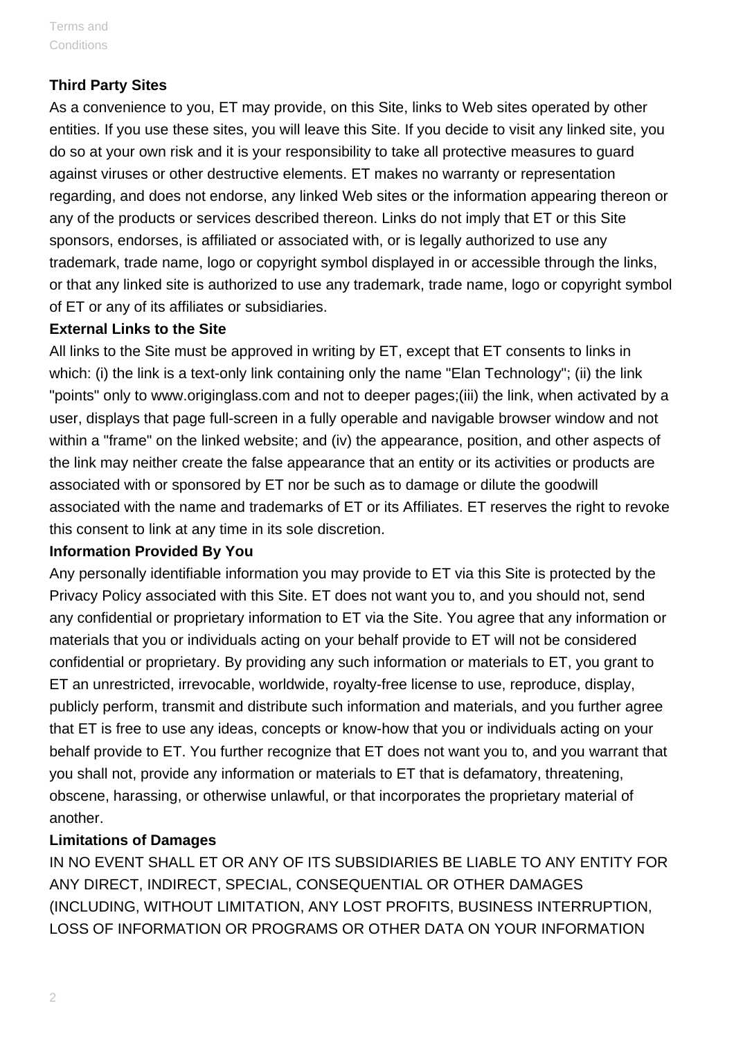#### **Third Party Sites**

As a convenience to you, ET may provide, on this Site, links to Web sites operated by other entities. If you use these sites, you will leave this Site. If you decide to visit any linked site, you do so at your own risk and it is your responsibility to take all protective measures to guard against viruses or other destructive elements. ET makes no warranty or representation regarding, and does not endorse, any linked Web sites or the information appearing thereon or any of the products or services described thereon. Links do not imply that ET or this Site sponsors, endorses, is affiliated or associated with, or is legally authorized to use any trademark, trade name, logo or copyright symbol displayed in or accessible through the links, or that any linked site is authorized to use any trademark, trade name, logo or copyright symbol of ET or any of its affiliates or subsidiaries.

#### **External Links to the Site**

All links to the Site must be approved in writing by ET, except that ET consents to links in which: (i) the link is a text-only link containing only the name "Elan Technology"; (ii) the link "points" only to www.originglass.com and not to deeper pages;(iii) the link, when activated by a user, displays that page full-screen in a fully operable and navigable browser window and not within a "frame" on the linked website; and (iv) the appearance, position, and other aspects of the link may neither create the false appearance that an entity or its activities or products are associated with or sponsored by ET nor be such as to damage or dilute the goodwill associated with the name and trademarks of ET or its Affiliates. ET reserves the right to revoke this consent to link at any time in its sole discretion.

#### **Information Provided By You**

Any personally identifiable information you may provide to ET via this Site is protected by the Privacy Policy associated with this Site. ET does not want you to, and you should not, send any confidential or proprietary information to ET via the Site. You agree that any information or materials that you or individuals acting on your behalf provide to ET will not be considered confidential or proprietary. By providing any such information or materials to ET, you grant to ET an unrestricted, irrevocable, worldwide, royalty-free license to use, reproduce, display, publicly perform, transmit and distribute such information and materials, and you further agree that ET is free to use any ideas, concepts or know-how that you or individuals acting on your behalf provide to ET. You further recognize that ET does not want you to, and you warrant that you shall not, provide any information or materials to ET that is defamatory, threatening, obscene, harassing, or otherwise unlawful, or that incorporates the proprietary material of another.

#### **Limitations of Damages**

IN NO EVENT SHALL ET OR ANY OF ITS SUBSIDIARIES BE LIABLE TO ANY ENTITY FOR ANY DIRECT, INDIRECT, SPECIAL, CONSEQUENTIAL OR OTHER DAMAGES (INCLUDING, WITHOUT LIMITATION, ANY LOST PROFITS, BUSINESS INTERRUPTION, LOSS OF INFORMATION OR PROGRAMS OR OTHER DATA ON YOUR INFORMATION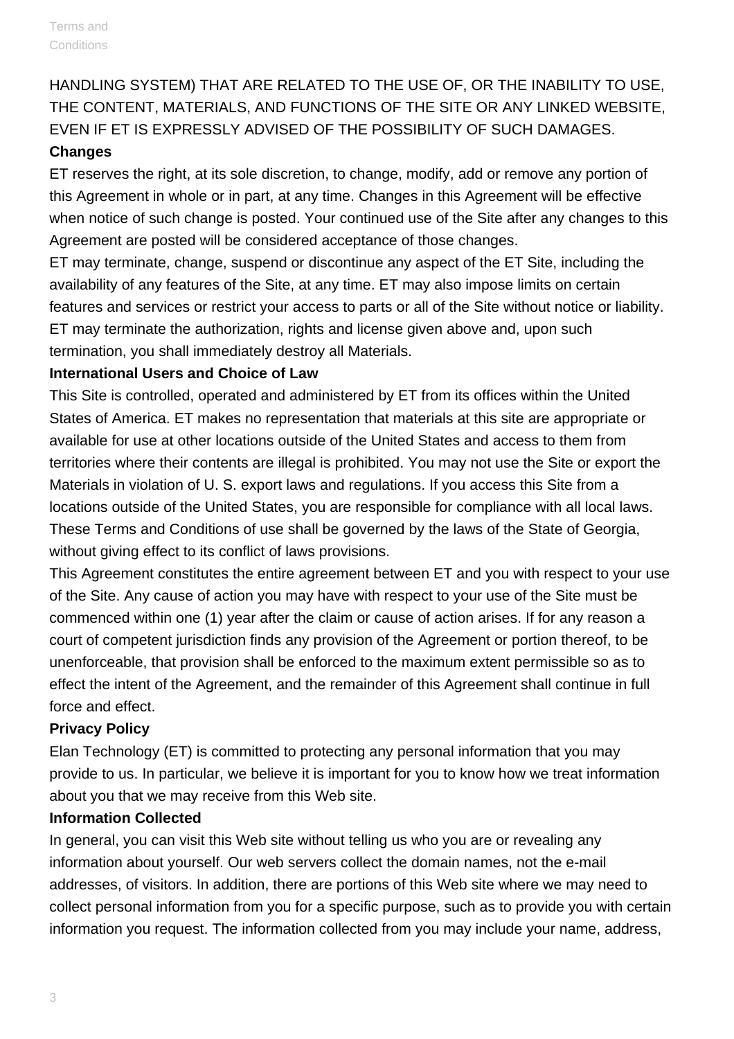HANDLING SYSTEM) THAT ARE RELATED TO THE USE OF, OR THE INABILITY TO USE, THE CONTENT, MATERIALS, AND FUNCTIONS OF THE SITE OR ANY LINKED WEBSITE, EVEN IF ET IS EXPRESSLY ADVISED OF THE POSSIBILITY OF SUCH DAMAGES. **Changes**

ET reserves the right, at its sole discretion, to change, modify, add or remove any portion of this Agreement in whole or in part, at any time. Changes in this Agreement will be effective when notice of such change is posted. Your continued use of the Site after any changes to this Agreement are posted will be considered acceptance of those changes.

ET may terminate, change, suspend or discontinue any aspect of the ET Site, including the availability of any features of the Site, at any time. ET may also impose limits on certain features and services or restrict your access to parts or all of the Site without notice or liability. ET may terminate the authorization, rights and license given above and, upon such termination, you shall immediately destroy all Materials.

## **International Users and Choice of Law**

This Site is controlled, operated and administered by ET from its offices within the United States of America. ET makes no representation that materials at this site are appropriate or available for use at other locations outside of the United States and access to them from territories where their contents are illegal is prohibited. You may not use the Site or export the Materials in violation of U. S. export laws and regulations. If you access this Site from a locations outside of the United States, you are responsible for compliance with all local laws. These Terms and Conditions of use shall be governed by the laws of the State of Georgia, without giving effect to its conflict of laws provisions.

This Agreement constitutes the entire agreement between ET and you with respect to your use of the Site. Any cause of action you may have with respect to your use of the Site must be commenced within one (1) year after the claim or cause of action arises. If for any reason a court of competent jurisdiction finds any provision of the Agreement or portion thereof, to be unenforceable, that provision shall be enforced to the maximum extent permissible so as to effect the intent of the Agreement, and the remainder of this Agreement shall continue in full force and effect.

## **Privacy Policy**

Elan Technology (ET) is committed to protecting any personal information that you may provide to us. In particular, we believe it is important for you to know how we treat information about you that we may receive from this Web site.

## **Information Collected**

In general, you can visit this Web site without telling us who you are or revealing any information about yourself. Our web servers collect the domain names, not the e-mail addresses, of visitors. In addition, there are portions of this Web site where we may need to collect personal information from you for a specific purpose, such as to provide you with certain information you request. The information collected from you may include your name, address,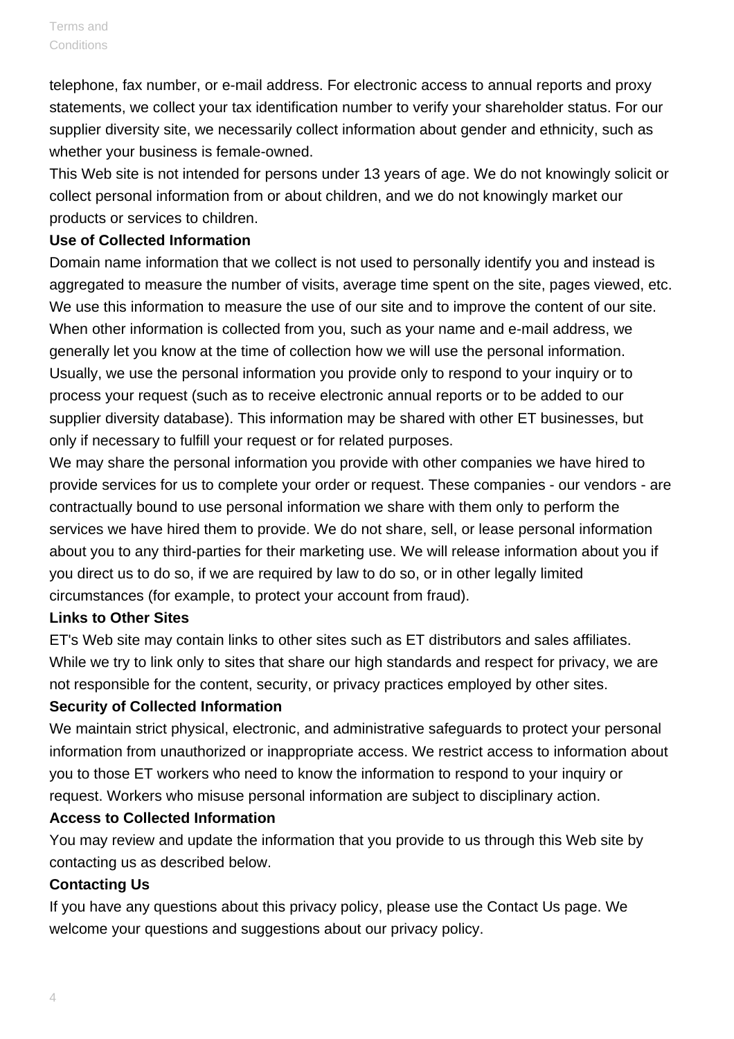telephone, fax number, or e-mail address. For electronic access to annual reports and proxy statements, we collect your tax identification number to verify your shareholder status. For our supplier diversity site, we necessarily collect information about gender and ethnicity, such as whether your business is female-owned.

This Web site is not intended for persons under 13 years of age. We do not knowingly solicit or collect personal information from or about children, and we do not knowingly market our products or services to children.

#### **Use of Collected Information**

Domain name information that we collect is not used to personally identify you and instead is aggregated to measure the number of visits, average time spent on the site, pages viewed, etc. We use this information to measure the use of our site and to improve the content of our site. When other information is collected from you, such as your name and e-mail address, we generally let you know at the time of collection how we will use the personal information. Usually, we use the personal information you provide only to respond to your inquiry or to process your request (such as to receive electronic annual reports or to be added to our supplier diversity database). This information may be shared with other ET businesses, but only if necessary to fulfill your request or for related purposes.

We may share the personal information you provide with other companies we have hired to provide services for us to complete your order or request. These companies - our vendors - are contractually bound to use personal information we share with them only to perform the services we have hired them to provide. We do not share, sell, or lease personal information about you to any third-parties for their marketing use. We will release information about you if you direct us to do so, if we are required by law to do so, or in other legally limited circumstances (for example, to protect your account from fraud).

## **Links to Other Sites**

ET's Web site may contain links to other sites such as ET distributors and sales affiliates. While we try to link only to sites that share our high standards and respect for privacy, we are not responsible for the content, security, or privacy practices employed by other sites.

## **Security of Collected Information**

We maintain strict physical, electronic, and administrative safeguards to protect your personal information from unauthorized or inappropriate access. We restrict access to information about you to those ET workers who need to know the information to respond to your inquiry or request. Workers who misuse personal information are subject to disciplinary action.

## **Access to Collected Information**

You may review and update the information that you provide to us through this Web site by contacting us as described below.

## **Contacting Us**

If you have any questions about this privacy policy, please use the Contact Us page. We welcome your questions and suggestions about our privacy policy.